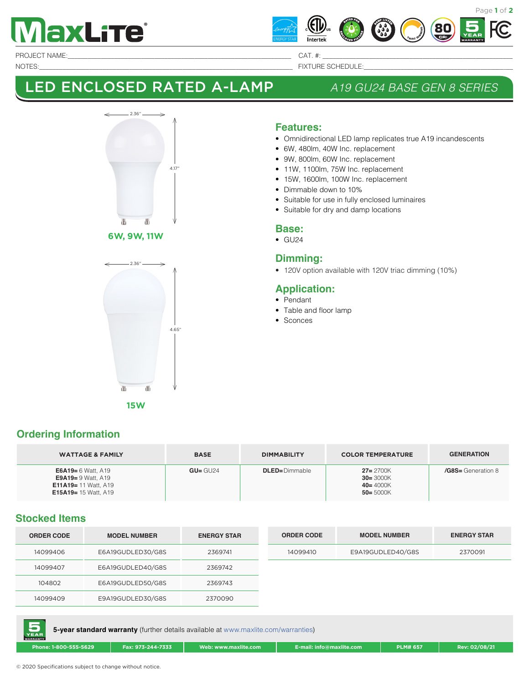



PROJECT NAME:\_\_\_\_\_\_\_\_\_\_\_\_\_\_\_\_\_\_\_\_\_\_\_\_\_\_\_\_\_\_\_\_\_\_\_\_\_\_\_\_\_\_\_\_\_\_\_\_\_\_\_\_\_\_\_\_\_\_\_\_\_\_\_\_\_\_\_ CAT. #: \_\_\_\_\_\_\_\_\_\_\_\_\_\_\_\_\_\_\_\_\_\_\_\_\_\_\_\_\_\_\_\_\_\_\_\_\_\_\_\_\_\_\_\_\_\_\_\_\_\_\_\_\_\_\_\_\_

NOTES:\_\_\_\_\_\_\_\_\_\_\_\_\_\_\_\_\_\_\_\_\_\_\_\_\_\_\_\_\_\_\_\_\_\_\_\_\_\_\_\_\_\_\_\_\_\_\_\_\_\_\_\_\_\_\_\_\_\_\_\_\_\_\_\_\_\_\_\_\_\_\_\_\_\_\_\_ FIXTURE SCHEDULE:\_\_\_\_\_\_\_\_\_\_\_\_\_\_\_\_\_\_\_\_\_\_\_\_\_\_\_\_\_\_\_\_\_\_\_\_\_\_\_\_\_\_\_\_\_

# LED ENCLOSED RATED A-LAMP *A19 GU24 BASE GEN 8 SERIES*



#### **6W, 9W, 11W**



#### **Features:**

- Omnidirectional LED lamp replicates true A19 incandescents
- 6W, 480lm, 40W Inc. replacement
- 9W, 800lm, 60W Inc. replacement
- 11W, 1100lm, 75W Inc. replacement
- 15W, 1600lm, 100W Inc. replacement
- Dimmable down to 10%
- Suitable for use in fully enclosed luminaires
- Suitable for dry and damp locations

#### **Base:**

 $\bullet$  GU24

#### **Dimming:**

• 120V option available with 120V triac dimming (10%)

### **Application:**

#### • Pendant

- Table and floor lamp
- Sconces

**15W**

#### **Ordering Information**

| <b>WATTAGE &amp; FAMILY</b>                                                                                                  | <b>BASE</b> | <b>DIMMABILITY</b>   | <b>COLOR TEMPERATURE</b>                                     | <b>GENERATION</b>  |
|------------------------------------------------------------------------------------------------------------------------------|-------------|----------------------|--------------------------------------------------------------|--------------------|
| <b>E6A19</b> = $6$ Watt, A19<br><b>E9A19</b> = $9$ Watt, A19<br><b>E11A19</b> = 11 Watt, A19<br><b>E15A19</b> = 15 Watt, A19 | $GU = GU24$ | <b>DLED=Dimmable</b> | $27 = 2700K$<br>$30 = 3000K$<br>$40 = 4000K$<br>$50 = 5000K$ | /G8S= Generation 8 |

### **Stocked Items**

| <b>ORDER CODE</b> | <b>MODEL NUMBER</b> | <b>ENERGY STAR</b> | <b>ORDER CODE</b> | <b>MODEL NUMBER</b> | <b>ENERGY STAR</b> |
|-------------------|---------------------|--------------------|-------------------|---------------------|--------------------|
| 14099406          | E6A19GUDLED30/G8S   | 2369741            | 14099410          | E9A19GUDLED40/G8S   | 2370091            |
| 14099407          | E6A19GUDLED40/G8S   | 2369742            |                   |                     |                    |
| 104802            | E6A19GUDLED50/G8S   | 2369743            |                   |                     |                    |
| 14099409          | E9A19GUDLED30/G8S   | 2370090            |                   |                     |                    |



**Phone: 1-800-555-5629 Fax: 973-244-7333 Web: www.maxlite.com E-mail: info@maxlite.com PLM# 657 Rev: 02/08/21**